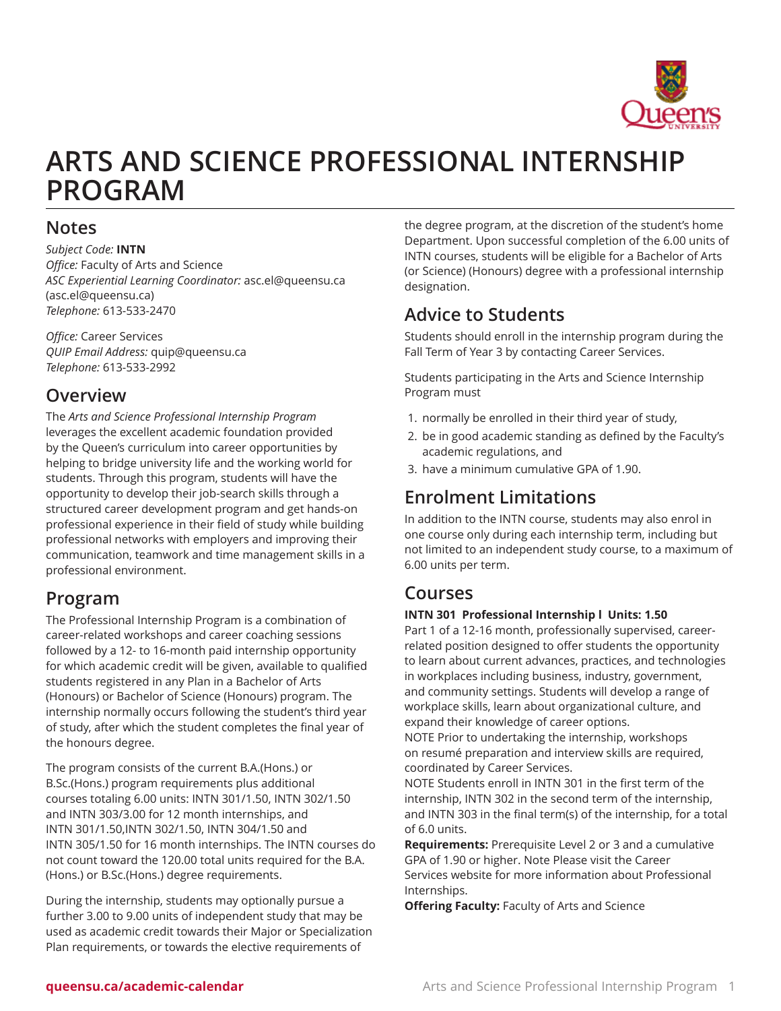

# **ARTS AND SCIENCE PROFESSIONAL INTERNSHIP PROGRAM**

## **Notes**

*Subject Code:* **INTN** *Office:* Faculty of Arts and Science *ASC Experiential Learning Coordinator:* [asc.el@queensu.ca](mailto:asc.el@queensu.ca)  (<asc.el@queensu.ca>) *Telephone:* 613-533-2470

*Office:* Career Services *QUIP Email Address:* [quip@queensu.ca](mailto:quip@queensu.ca) *Telephone:* 613-533-2992

## **Overview**

The *Arts and Science Professional Internship Program* leverages the excellent academic foundation provided by the Queen's curriculum into career opportunities by helping to bridge university life and the working world for students. Through this program, students will have the opportunity to develop their job-search skills through a structured career development program and get hands-on professional experience in their field of study while building professional networks with employers and improving their communication, teamwork and time management skills in a professional environment.

## **Program**

The Professional Internship Program is a combination of career-related workshops and career coaching sessions followed by a 12- to 16-month paid internship opportunity for which academic credit will be given, available to qualified students registered in any Plan in a Bachelor of Arts (Honours) or Bachelor of Science (Honours) program. The internship normally occurs following the student's third year of study, after which the student completes the final year of the honours degree.

The program consists of the current B.A.(Hons.) or B.Sc.(Hons.) program requirements plus additional courses totaling 6.00 units: INTN 301/1.50, INTN 302/1.50 and INTN 303/3.00 for 12 month internships, and INTN 301/1.50,INTN 302/1.50, INTN 304/1.50 and INTN 305/1.50 for 16 month internships. The INTN courses do not count toward the 120.00 total units required for the B.A. (Hons.) or B.Sc.(Hons.) degree requirements.

During the internship, students may optionally pursue a further 3.00 to 9.00 units of independent study that may be used as academic credit towards their Major or Specialization Plan requirements, or towards the elective requirements of

the degree program, at the discretion of the student's home Department. Upon successful completion of the 6.00 units of INTN courses, students will be eligible for a Bachelor of Arts (or Science) (Honours) degree with a professional internship designation.

## **Advice to Students**

Students should enroll in the internship program during the Fall Term of Year 3 by contacting Career Services.

Students participating in the Arts and Science Internship Program must

- 1. normally be enrolled in their third year of study,
- 2. be in good academic standing as defined by the Faculty's academic regulations, and
- 3. have a minimum cumulative GPA of 1.90.

## **Enrolment Limitations**

In addition to the INTN course, students may also enrol in one course only during each internship term, including but not limited to an independent study course, to a maximum of 6.00 units per term.

## **Courses**

### **INTN 301 Professional Internship l Units: 1.50**

Part 1 of a 12-16 month, professionally supervised, careerrelated position designed to offer students the opportunity to learn about current advances, practices, and technologies in workplaces including business, industry, government, and community settings. Students will develop a range of workplace skills, learn about organizational culture, and expand their knowledge of career options.

NOTE Prior to undertaking the internship, workshops on resumé preparation and interview skills are required, coordinated by Career Services.

NOTE Students enroll in INTN 301 in the first term of the internship, INTN 302 in the second term of the internship, and INTN 303 in the final term(s) of the internship, for a total of 6.0 units.

**Requirements:** Prerequisite Level 2 or 3 and a cumulative GPA of 1.90 or higher. Note Please visit the Career Services website for more information about Professional Internships.

**Offering Faculty:** Faculty of Arts and Science